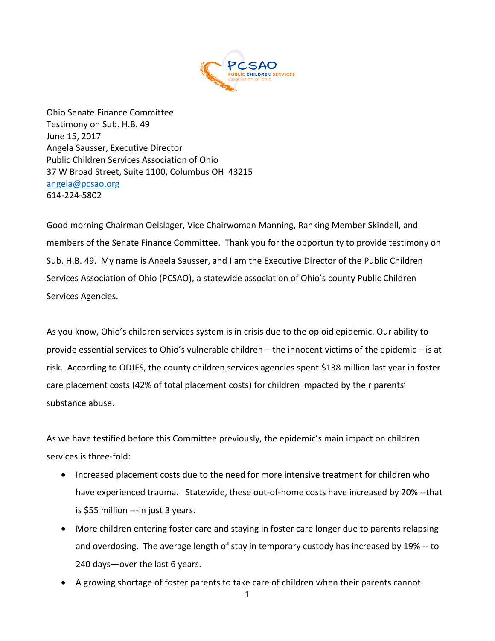

Ohio Senate Finance Committee Testimony on Sub. H.B. 49 June 15, 2017 Angela Sausser, Executive Director Public Children Services Association of Ohio 37 W Broad Street, Suite 1100, Columbus OH 43215 [angela@pcsao.org](mailto:angela@pcsao.org)  614-224-5802

Good morning Chairman Oelslager, Vice Chairwoman Manning, Ranking Member Skindell, and members of the Senate Finance Committee. Thank you for the opportunity to provide testimony on Sub. H.B. 49. My name is Angela Sausser, and I am the Executive Director of the Public Children Services Association of Ohio (PCSAO), a statewide association of Ohio's county Public Children Services Agencies.

As you know, Ohio's children services system is in crisis due to the opioid epidemic. Our ability to provide essential services to Ohio's vulnerable children – the innocent victims of the epidemic – is at risk. According to ODJFS, the county children services agencies spent \$138 million last year in foster care placement costs (42% of total placement costs) for children impacted by their parents' substance abuse.

As we have testified before this Committee previously, the epidemic's main impact on children services is three-fold:

- Increased placement costs due to the need for more intensive treatment for children who have experienced trauma. Statewide, these out-of-home costs have increased by 20% --that is \$55 million ---in just 3 years.
- More children entering foster care and staying in foster care longer due to parents relapsing and overdosing. The average length of stay in temporary custody has increased by 19% -- to 240 days—over the last 6 years.
- A growing shortage of foster parents to take care of children when their parents cannot.